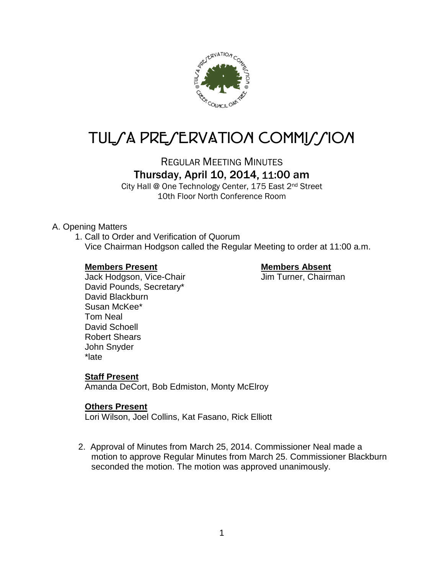

# TUL/A PRE/ERVATION COMMI*J*/ION

REGULAR MEETING MINUTES Thursday, April 10, 2014, 11:00 am

City Hall @ One Technology Center, 175 East 2nd Street 10th Floor North Conference Room

# A. Opening Matters

1. Call to Order and Verification of Quorum Vice Chairman Hodgson called the Regular Meeting to order at 11:00 a.m.

### **Members Present Members Absent**

Jack Hodgson, Vice-Chair **Jim Turner**, Chairman David Pounds, Secretary\* David Blackburn Susan McKee\* Tom Neal David Schoell Robert Shears John Snyder \*late

# **Staff Present**

Amanda DeCort, Bob Edmiston, Monty McElroy

# **Others Present**

Lori Wilson, Joel Collins, Kat Fasano, Rick Elliott

2. Approval of Minutes from March 25, 2014. Commissioner Neal made a motion to approve Regular Minutes from March 25. Commissioner Blackburn seconded the motion. The motion was approved unanimously.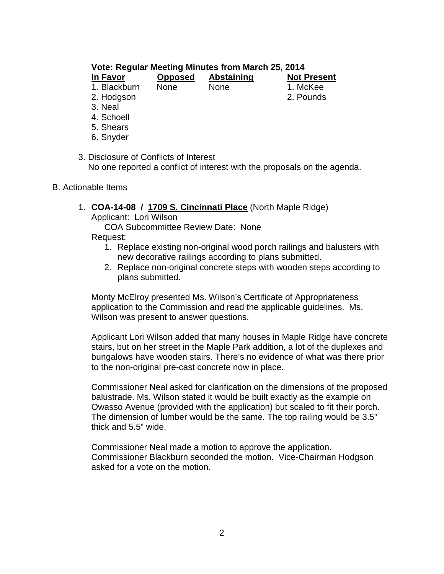# **Vote: Regular Meeting Minutes from March 25, 2014**

| In Favor     | <b>Opposed</b> | <b>Abstaining</b> | <b>Not Present</b> |
|--------------|----------------|-------------------|--------------------|
| 1. Blackburn | <b>None</b>    | <b>None</b>       | 1. McKee           |
| 2. Hodgson   |                |                   | 2. Pounds          |
| o Naol       |                |                   |                    |

- 3. Neal
- 4. Schoell
- 5. Shears
- 6. Snyder

#### 3. Disclosure of Conflicts of Interest No one reported a conflict of interest with the proposals on the agenda.

- B. Actionable Items
	- 1. **COA-14-08 / 1709 S. Cincinnati Place** (North Maple Ridge)

Applicant: Lori Wilson

COA Subcommittee Review Date: None Request:

- 1. Replace existing non-original wood porch railings and balusters with new decorative railings according to plans submitted.
- 2. Replace non-original concrete steps with wooden steps according to plans submitted.

Monty McElroy presented Ms. Wilson's Certificate of Appropriateness application to the Commission and read the applicable guidelines. Ms. Wilson was present to answer questions.

Applicant Lori Wilson added that many houses in Maple Ridge have concrete stairs, but on her street in the Maple Park addition, a lot of the duplexes and bungalows have wooden stairs. There's no evidence of what was there prior to the non-original pre-cast concrete now in place.

Commissioner Neal asked for clarification on the dimensions of the proposed balustrade. Ms. Wilson stated it would be built exactly as the example on Owasso Avenue (provided with the application) but scaled to fit their porch. The dimension of lumber would be the same. The top railing would be 3.5" thick and 5.5" wide.

Commissioner Neal made a motion to approve the application. Commissioner Blackburn seconded the motion. Vice-Chairman Hodgson asked for a vote on the motion.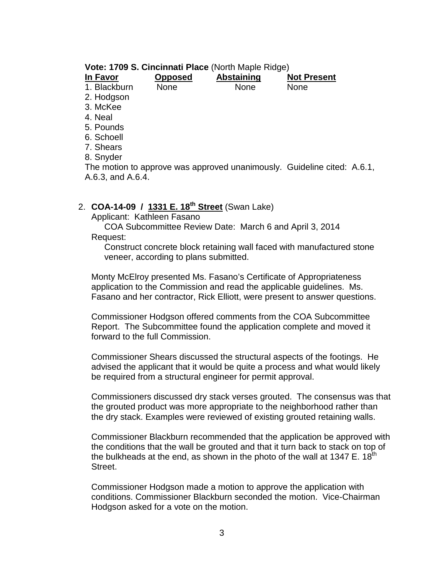#### **Vote: 1709 S. Cincinnati Place** (North Maple Ridge)

| In Favor     | <b>Opposed</b> | <b>Abstaining</b> | <b>Not Present</b> |
|--------------|----------------|-------------------|--------------------|
| 1. Blackburn | None           | <b>None</b>       | <b>None</b>        |
| 2. Hodgson   |                |                   |                    |
| 3. McKee     |                |                   |                    |
| 4. Neal      |                |                   |                    |
| 5. Pounds    |                |                   |                    |
| 6. Schoell   |                |                   |                    |
|              |                |                   |                    |

7. Shears

8. Snyder

The motion to approve was approved unanimously. Guideline cited: A.6.1, A.6.3, and A.6.4.

# 2. **COA-14-09 / 1331 E. 18th Street** (Swan Lake)

Applicant: Kathleen Fasano

COA Subcommittee Review Date: March 6 and April 3, 2014 Request:

Construct concrete block retaining wall faced with manufactured stone veneer, according to plans submitted.

Monty McElroy presented Ms. Fasano's Certificate of Appropriateness application to the Commission and read the applicable guidelines. Ms. Fasano and her contractor, Rick Elliott, were present to answer questions.

Commissioner Hodgson offered comments from the COA Subcommittee Report. The Subcommittee found the application complete and moved it forward to the full Commission.

Commissioner Shears discussed the structural aspects of the footings. He advised the applicant that it would be quite a process and what would likely be required from a structural engineer for permit approval.

Commissioners discussed dry stack verses grouted. The consensus was that the grouted product was more appropriate to the neighborhood rather than the dry stack. Examples were reviewed of existing grouted retaining walls.

Commissioner Blackburn recommended that the application be approved with the conditions that the wall be grouted and that it turn back to stack on top of the bulkheads at the end, as shown in the photo of the wall at 1347 E.  $18<sup>th</sup>$ Street.

Commissioner Hodgson made a motion to approve the application with conditions. Commissioner Blackburn seconded the motion. Vice-Chairman Hodgson asked for a vote on the motion.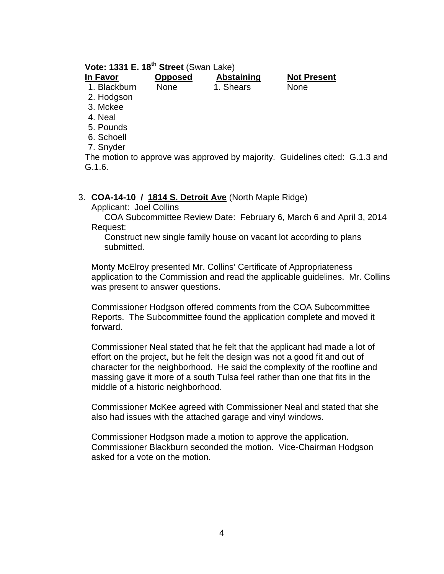# **Vote: 1331 E. 18th Street** (Swan Lake)

| In Favor     | <b>Opposed</b> | Abstaining | <b>Not Present</b> |
|--------------|----------------|------------|--------------------|
| 1. Blackburn | None           | 1. Shears  | <b>None</b>        |
| 2. Hodgson   |                |            |                    |
| 3. Mckee     |                |            |                    |

- 4. Neal
- 

5. Pounds 6. Schoell

7. Snyder

The motion to approve was approved by majority. Guidelines cited: G.1.3 and G.1.6.

### 3. **COA-14-10 / 1814 S. Detroit Ave** (North Maple Ridge)

Applicant: Joel Collins

COA Subcommittee Review Date: February 6, March 6 and April 3, 2014 Request:

Construct new single family house on vacant lot according to plans submitted.

Monty McElroy presented Mr. Collins' Certificate of Appropriateness application to the Commission and read the applicable guidelines. Mr. Collins was present to answer questions.

Commissioner Hodgson offered comments from the COA Subcommittee Reports. The Subcommittee found the application complete and moved it forward.

Commissioner Neal stated that he felt that the applicant had made a lot of effort on the project, but he felt the design was not a good fit and out of character for the neighborhood. He said the complexity of the roofline and massing gave it more of a south Tulsa feel rather than one that fits in the middle of a historic neighborhood.

Commissioner McKee agreed with Commissioner Neal and stated that she also had issues with the attached garage and vinyl windows.

Commissioner Hodgson made a motion to approve the application. Commissioner Blackburn seconded the motion. Vice-Chairman Hodgson asked for a vote on the motion.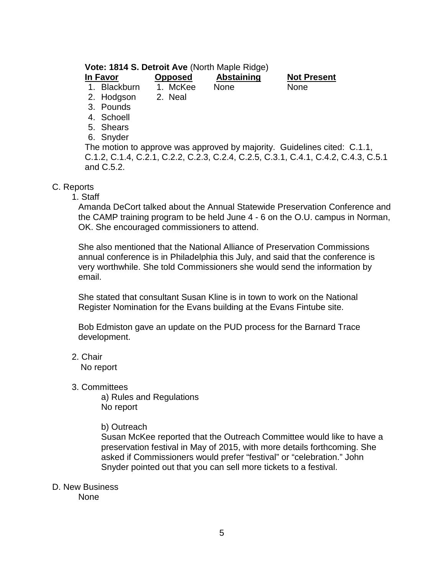# **Vote: 1814 S. Detroit Ave** (North Maple Ridge)

| In Favor     | <b>Opposed</b> | Abstaining  | <b>Not Present</b> |
|--------------|----------------|-------------|--------------------|
| 1. Blackburn | 1. McKee       | <b>None</b> | <b>None</b>        |
| 2. Hodgson   | 2. Neal        |             |                    |

- 3. Pounds
- 4. Schoell
- 5. Shears
- 6. Snyder
- 

The motion to approve was approved by majority. Guidelines cited: C.1.1, C.1.2, C.1.4, C.2.1, C.2.2, C.2.3, C.2.4, C.2.5, C.3.1, C.4.1, C.4.2, C.4.3, C.5.1 and C.5.2.

# C. Reports

1. Staff

Amanda DeCort talked about the Annual Statewide Preservation Conference and the CAMP training program to be held June 4 - 6 on the O.U. campus in Norman, OK. She encouraged commissioners to attend.

She also mentioned that the National Alliance of Preservation Commissions annual conference is in Philadelphia this July, and said that the conference is very worthwhile. She told Commissioners she would send the information by email.

She stated that consultant Susan Kline is in town to work on the National Register Nomination for the Evans building at the Evans Fintube site.

Bob Edmiston gave an update on the PUD process for the Barnard Trace development.

2. Chair

No report

3. Committees

a) Rules and Regulations No report

b) Outreach

Susan McKee reported that the Outreach Committee would like to have a preservation festival in May of 2015, with more details forthcoming. She asked if Commissioners would prefer "festival" or "celebration." John Snyder pointed out that you can sell more tickets to a festival.

D. New Business

None